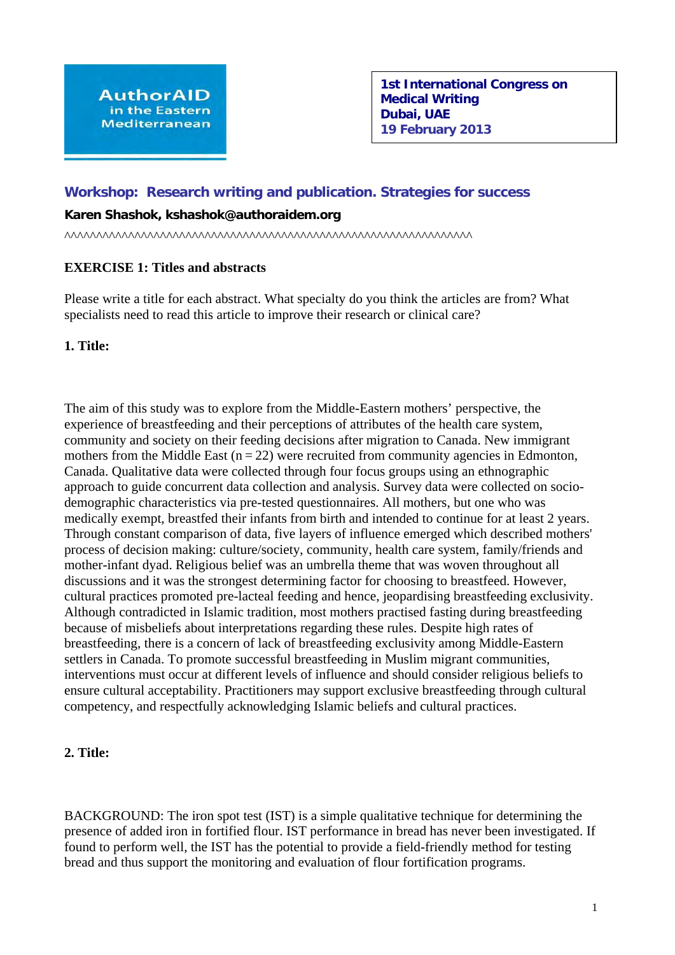# **Workshop: Research writing and publication. Strategies for success**

### **Karen Shashok, kshashok@authoraidem.org**

^^^^^^^^^^^^^^^^^^^^^^^^^^^^^^^^^^^^^^^^^^^^^^^^^^^^^^^^^^^^^^^^

## **EXERCISE 1: Titles and abstracts**

Please write a title for each abstract. What specialty do you think the articles are from? What specialists need to read this article to improve their research or clinical care?

### **1. Title:**

The aim of this study was to explore from the Middle-Eastern mothers' perspective, the experience of breastfeeding and their perceptions of attributes of the health care system, community and society on their feeding decisions after migration to Canada. New immigrant mothers from the Middle East  $(n = 22)$  were recruited from community agencies in Edmonton, Canada. Qualitative data were collected through four focus groups using an ethnographic approach to guide concurrent data collection and analysis. Survey data were collected on sociodemographic characteristics via pre-tested questionnaires. All mothers, but one who was medically exempt, breastfed their infants from birth and intended to continue for at least 2 years. Through constant comparison of data, five layers of influence emerged which described mothers' process of decision making: culture/society, community, health care system, family/friends and mother-infant dyad. Religious belief was an umbrella theme that was woven throughout all discussions and it was the strongest determining factor for choosing to breastfeed. However, cultural practices promoted pre-lacteal feeding and hence, jeopardising breastfeeding exclusivity. Although contradicted in Islamic tradition, most mothers practised fasting during breastfeeding because of misbeliefs about interpretations regarding these rules. Despite high rates of breastfeeding, there is a concern of lack of breastfeeding exclusivity among Middle-Eastern settlers in Canada. To promote successful breastfeeding in Muslim migrant communities, interventions must occur at different levels of influence and should consider religious beliefs to ensure cultural acceptability. Practitioners may support exclusive breastfeeding through cultural competency, and respectfully acknowledging Islamic beliefs and cultural practices.

#### **2. Title:**

BACKGROUND: The iron spot test (IST) is a simple qualitative technique for determining the presence of added iron in fortified flour. IST performance in bread has never been investigated. If found to perform well, the IST has the potential to provide a field-friendly method for testing bread and thus support the monitoring and evaluation of flour fortification programs.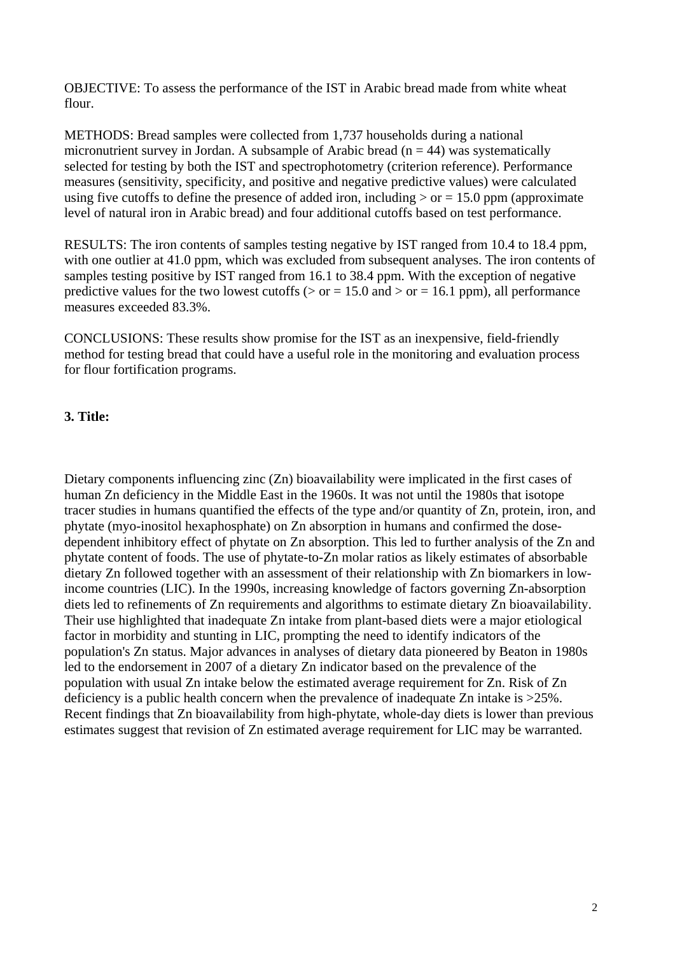OBJECTIVE: To assess the performance of the IST in Arabic bread made from white wheat flour.

METHODS: Bread samples were collected from 1,737 households during a national micronutrient survey in Jordan. A subsample of Arabic bread ( $n = 44$ ) was systematically selected for testing by both the IST and spectrophotometry (criterion reference). Performance measures (sensitivity, specificity, and positive and negative predictive values) were calculated using five cutoffs to define the presence of added iron, including  $>$  or  $= 15.0$  ppm (approximate level of natural iron in Arabic bread) and four additional cutoffs based on test performance.

RESULTS: The iron contents of samples testing negative by IST ranged from 10.4 to 18.4 ppm, with one outlier at 41.0 ppm, which was excluded from subsequent analyses. The iron contents of samples testing positive by IST ranged from 16.1 to 38.4 ppm. With the exception of negative predictive values for the two lowest cutoffs ( $>$  or = 15.0 and  $>$  or = 16.1 ppm), all performance measures exceeded 83.3%.

CONCLUSIONS: These results show promise for the IST as an inexpensive, field-friendly method for testing bread that could have a useful role in the monitoring and evaluation process for flour fortification programs.

### **3. Title:**

Dietary components influencing zinc (Zn) bioavailability were implicated in the first cases of human Zn deficiency in the Middle East in the 1960s. It was not until the 1980s that isotope tracer studies in humans quantified the effects of the type and/or quantity of Zn, protein, iron, and phytate (myo-inositol hexaphosphate) on Zn absorption in humans and confirmed the dosedependent inhibitory effect of phytate on Zn absorption. This led to further analysis of the Zn and phytate content of foods. The use of phytate-to-Zn molar ratios as likely estimates of absorbable dietary Zn followed together with an assessment of their relationship with Zn biomarkers in lowincome countries (LIC). In the 1990s, increasing knowledge of factors governing Zn-absorption diets led to refinements of Zn requirements and algorithms to estimate dietary Zn bioavailability. Their use highlighted that inadequate Zn intake from plant-based diets were a major etiological factor in morbidity and stunting in LIC, prompting the need to identify indicators of the population's Zn status. Major advances in analyses of dietary data pioneered by Beaton in 1980s led to the endorsement in 2007 of a dietary Zn indicator based on the prevalence of the population with usual Zn intake below the estimated average requirement for Zn. Risk of Zn deficiency is a public health concern when the prevalence of inadequate Zn intake is >25%. Recent findings that Zn bioavailability from high-phytate, whole-day diets is lower than previous estimates suggest that revision of Zn estimated average requirement for LIC may be warranted.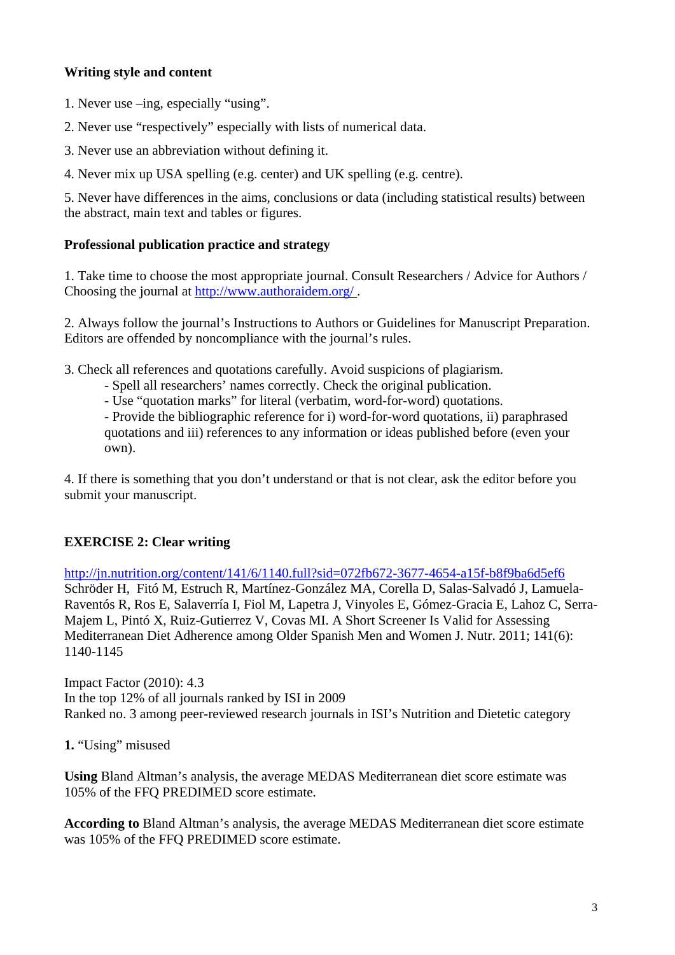# **Writing style and content**

- 1. Never use –ing, especially "using".
- 2. Never use "respectively" especially with lists of numerical data.
- 3. Never use an abbreviation without defining it.
- 4. Never mix up USA spelling (e.g. center) and UK spelling (e.g. centre).

5. Never have differences in the aims, conclusions or data (including statistical results) between the abstract, main text and tables or figures.

## **Professional publication practice and strategy**

1. Take time to choose the most appropriate journal. Consult Researchers / Advice for Authors / Choosing the journal at<http://www.authoraidem.org/>.

2. Always follow the journal's Instructions to Authors or Guidelines for Manuscript Preparation. Editors are offended by noncompliance with the journal's rules.

3. Check all references and quotations carefully. Avoid suspicions of plagiarism.

- Spell all researchers' names correctly. Check the original publication.
- Use "quotation marks" for literal (verbatim, word-for-word) quotations.

- Provide the bibliographic reference for i) word-for-word quotations, ii) paraphrased quotations and iii) references to any information or ideas published before (even your own).

4. If there is something that you don't understand or that is not clear, ask the editor before you submit your manuscript.

# **EXERCISE 2: Clear writing**

<http://jn.nutrition.org/content/141/6/1140.full?sid=072fb672-3677-4654-a15f-b8f9ba6d5ef6> Schröder H, Fitó M, Estruch R, Martínez-González MA, Corella D, Salas-Salvadó J, Lamuela-Raventós R, Ros E, Salaverría I, Fiol M, Lapetra J, Vinyoles E, Gómez-Gracia E, Lahoz C, Serra-Majem L, Pintó X, Ruiz-Gutierrez V, Covas MI. A Short Screener Is Valid for Assessing Mediterranean Diet Adherence among Older Spanish Men and Women J. Nutr. 2011; 141(6): 1140-1145

Impact Factor (2010): 4.3 In the top 12% of all journals ranked by ISI in 2009 Ranked no. 3 among peer-reviewed research journals in ISI's Nutrition and Dietetic category

**1.** "Using" misused

**Using** Bland Altman's analysis, the average MEDAS Mediterranean diet score estimate was 105% of the FFQ PREDIMED score estimate.

**According to** Bland Altman's analysis, the average MEDAS Mediterranean diet score estimate was 105% of the FFQ PREDIMED score estimate.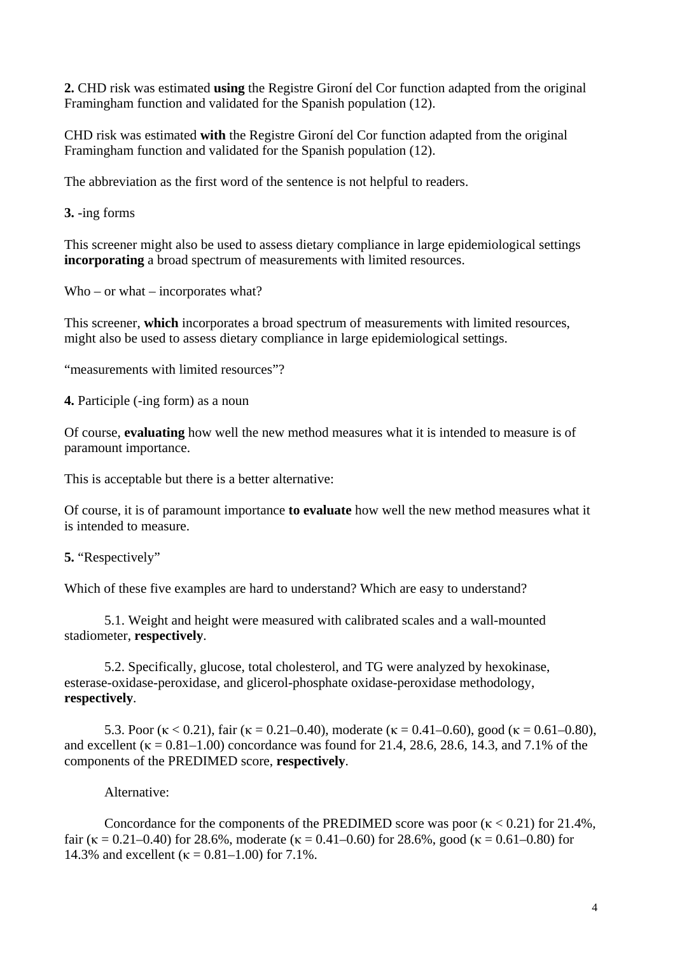**2.** CHD risk was estimated **using** the Registre Gironí del Cor function adapted from the original Framingham function and validated for the Spanish population (12).

CHD risk was estimated **with** the Registre Gironí del Cor function adapted from the original Framingham function and validated for the Spanish population (12).

The abbreviation as the first word of the sentence is not helpful to readers.

**3.** -ing forms

This screener might also be used to assess dietary compliance in large epidemiological settings **incorporating** a broad spectrum of measurements with limited resources.

Who – or what – incorporates what?

This screener, **which** incorporates a broad spectrum of measurements with limited resources, might also be used to assess dietary compliance in large epidemiological settings.

"measurements with limited resources"?

**4.** Participle (-ing form) as a noun

Of course, **evaluating** how well the new method measures what it is intended to measure is of paramount importance.

This is acceptable but there is a better alternative:

Of course, it is of paramount importance **to evaluate** how well the new method measures what it is intended to measure.

Which of these five examples are hard to understand? Which are easy to understand?

5.1. Weight and height were measured with calibrated scales and a wall-mounted stadiometer, **respectively**.

5.2. Specifically, glucose, total cholesterol, and TG were analyzed by hexokinase, esterase-oxidase-peroxidase, and glicerol-phosphate oxidase-peroxidase methodology, **respectively**.

5.3. Poor (κ < 0.21), fair (κ = 0.21–0.40), moderate (κ = 0.41–0.60), good (κ = 0.61–0.80), and excellent ( $\kappa = 0.81 - 1.00$ ) concordance was found for 21.4, 28.6, 28.6, 14.3, and 7.1% of the components of the PREDIMED score, **respectively**.

Alternative:

Concordance for the components of the PREDIMED score was poor ( $\kappa$  < 0.21) for 21.4%, fair ( $\kappa = 0.21 - 0.40$ ) for 28.6%, moderate ( $\kappa = 0.41 - 0.60$ ) for 28.6%, good ( $\kappa = 0.61 - 0.80$ ) for 14.3% and excellent ( $\kappa = 0.81 - 1.00$ ) for 7.1%.

**<sup>5.</sup>** "Respectively"